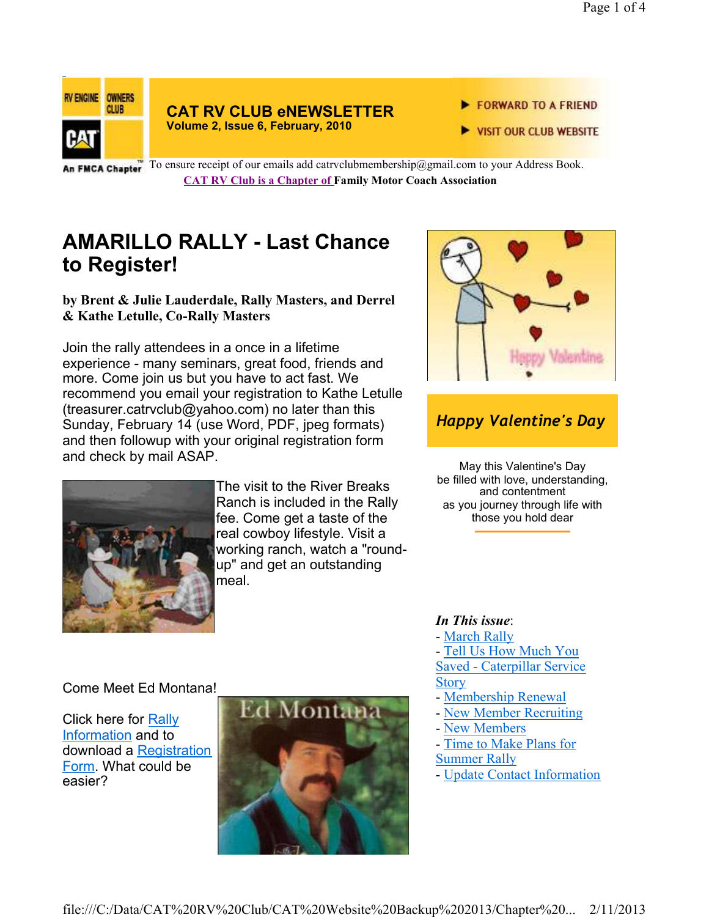

### **CAT RV CLUB eNEWSLETTER Volume 2, Issue 6, February, 2010**

- FORWARD TO A FRIEND
- VISIT OUR CLUB WEBSITE

An FMCA Chapter To ensure receipt of our emails add catrvclubmembership@gmail.com to your Address Book. **CAT RV Club is a Chapter of Family Motor Coach Association** 

# **AMARILLO RALLY - Last Chance to Register!**

## **by Brent & Julie Lauderdale, Rally Masters, and Derrel & Kathe Letulle, Co-Rally Masters**

Join the rally attendees in a once in a lifetime experience - many seminars, great food, friends and more. Come join us but you have to act fast. We recommend you email your registration to Kathe Letulle (treasurer.catrvclub@yahoo.com) no later than this Sunday, February 14 (use Word, PDF, jpeg formats) and then followup with your original registration form and check by mail ASAP.



## *Happy Valentine's Day*

May this Valentine's Day be filled with love, understanding, and contentment as you journey through life with those you hold dear



The visit to the River Breaks Ranch is included in the Rally fee. Come get a taste of the real cowboy lifestyle. Visit a working ranch, watch a "roundup" and get an outstanding meal.

## - March Rally

- Tell Us How Much You Saved - Caterpillar Service **Story** 

- Membership Renewal
- New Member Recruiting
- New Members

*In This issue*:

- Time to Make Plans for
- Summer Rally
- Update Contact Information

## Come Meet Ed Montana!

Click here for Rally Information and to download a Registration Form. What could be easier?

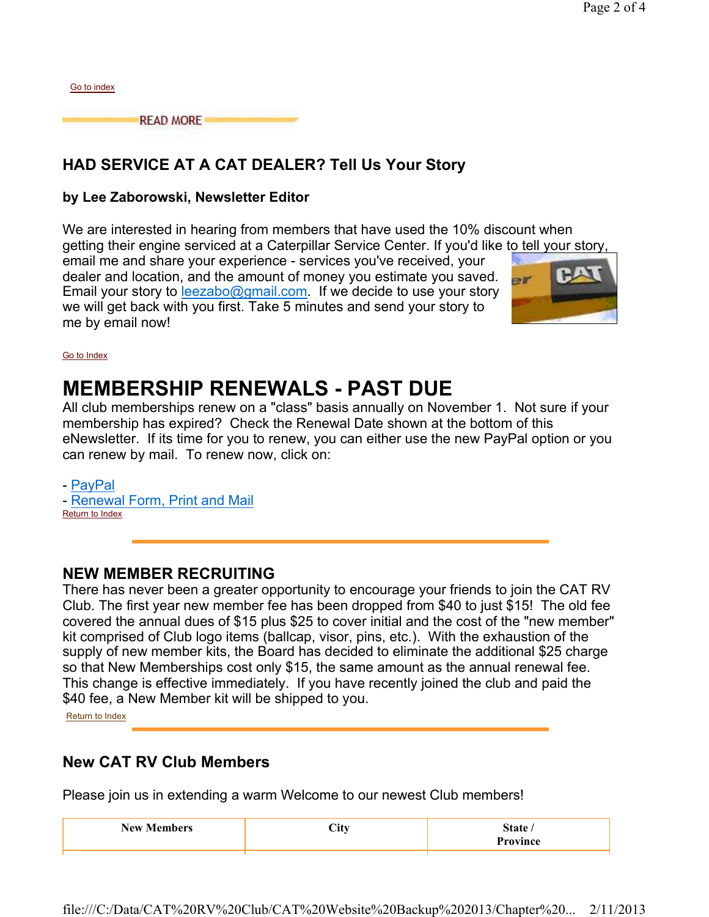|  |  | HAD SERVICE AT A CAT DEALER? Tell Us Your Story |  |
|--|--|-------------------------------------------------|--|
|  |  |                                                 |  |

**READ MORE** 

## **by Lee Zaborowski, Newsletter Editor**

We are interested in hearing from members that have used the 10% discount when getting their engine serviced at a Caterpillar Service Center. If you'd like to tell your story, email me and share your experience - services you've received, your dealer and location, and the amount of money you estimate you saved.  $er$ Email your story to **leezabo@gmail.com.** If we decide to use your story we will get back with you first. Take 5 minutes and send your story to me by email now!



#### Go to Index

Go to index

# **MEMBERSHIP RENEWALS - PAST DUE**

All club memberships renew on a "class" basis annually on November 1. Not sure if your membership has expired? Check the Renewal Date shown at the bottom of this eNewsletter. If its time for you to renew, you can either use the new PayPal option or you can renew by mail. To renew now, click on:

- PayPal - Renewal Form, Print and Mail Return to Index

## **NEW MEMBER RECRUITING**

There has never been a greater opportunity to encourage your friends to join the CAT RV Club. The first year new member fee has been dropped from \$40 to just \$15! The old fee covered the annual dues of \$15 plus \$25 to cover initial and the cost of the "new member" kit comprised of Club logo items (ballcap, visor, pins, etc.). With the exhaustion of the supply of new member kits, the Board has decided to eliminate the additional \$25 charge so that New Memberships cost only \$15, the same amount as the annual renewal fee. This change is effective immediately. If you have recently joined the club and paid the \$40 fee, a New Member kit will be shipped to you.

Return to Index

## **New CAT RV Club Members**

Please join us in extending a warm Welcome to our newest Club members!

| <b>BT</b><br>N AW<br>$A = A$<br><br>- 7 | -- |  |
|-----------------------------------------|----|--|
|                                         |    |  |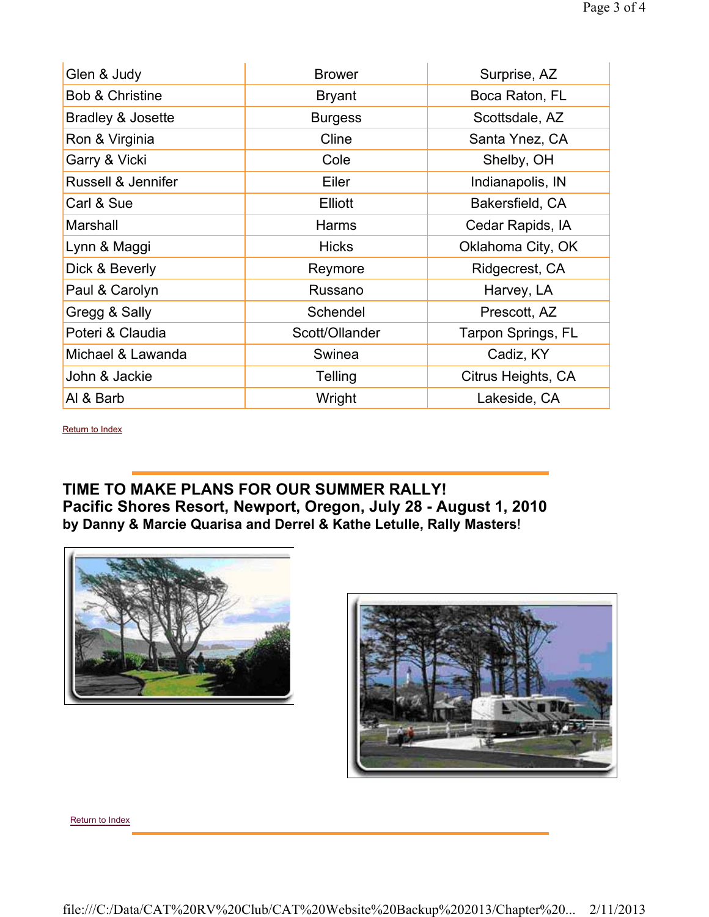| Glen & Judy                | <b>Brower</b>  | Surprise, AZ       |
|----------------------------|----------------|--------------------|
| <b>Bob &amp; Christine</b> | <b>Bryant</b>  | Boca Raton, FL     |
| Bradley & Josette          | <b>Burgess</b> | Scottsdale, AZ     |
| Ron & Virginia             | Cline          | Santa Ynez, CA     |
| Garry & Vicki              | Cole           | Shelby, OH         |
| Russell & Jennifer         | Eiler          | Indianapolis, IN   |
| Carl & Sue                 | <b>Elliott</b> | Bakersfield, CA    |
| Marshall                   | <b>Harms</b>   | Cedar Rapids, IA   |
| Lynn & Maggi               | <b>Hicks</b>   | Oklahoma City, OK  |
| Dick & Beverly             | Reymore        | Ridgecrest, CA     |
| Paul & Carolyn             | Russano        | Harvey, LA         |
| Gregg & Sally              | Schendel       | Prescott, AZ       |
| Poteri & Claudia           | Scott/Ollander | Tarpon Springs, FL |
| Michael & Lawanda          | Swinea         | Cadiz, KY          |
| John & Jackie              | Telling        | Citrus Heights, CA |
| Al & Barb                  | Wright         | Lakeside, CA       |

Return to Index

## **TIME TO MAKE PLANS FOR OUR SUMMER RALLY! Pacific Shores Resort, Newport, Oregon, July 28 - August 1, 2010 by Danny & Marcie Quarisa and Derrel & Kathe Letulle, Rally Masters**!





Return to Index